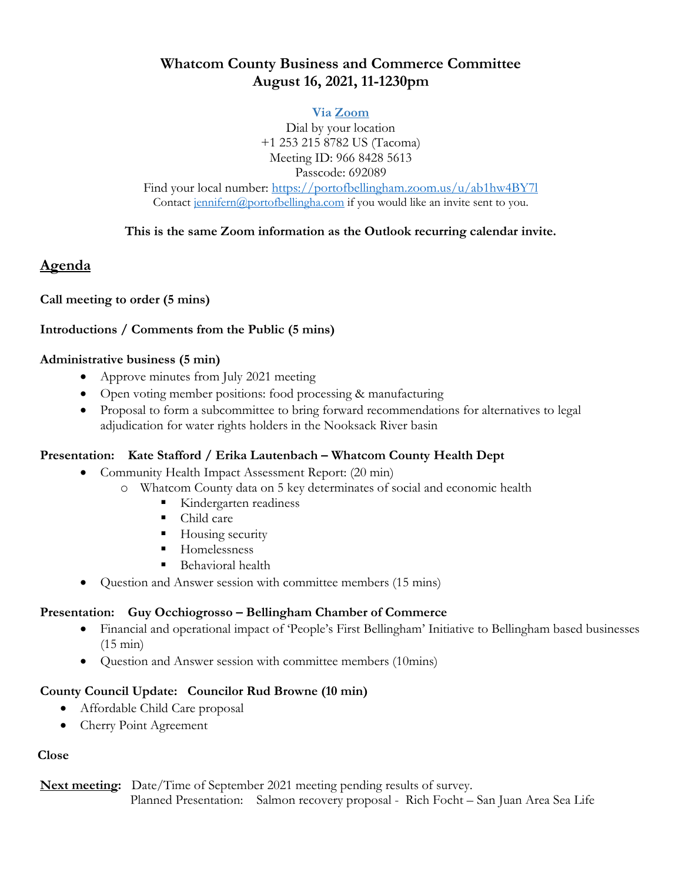# **Whatcom County Business and Commerce Committee August 16, 2021, 11-1230pm**

#### **Via [Zoom](https://portofbellingham.zoom.us/j/96684285613?pwd=TFp3YVpKSUJRdlhGSGVTc1JvODBKUT09)**

Dial by your location +1 253 215 8782 US (Tacoma) Meeting ID: 966 8428 5613 Passcode: 692089 Find your local number:<https://portofbellingham.zoom.us/u/ab1hw4BY7l> Contact [jennifern@portofbellingha.com](mailto:jennifern@portofbellingha.com) if you would like an invite sent to you.

#### **This is the same Zoom information as the Outlook recurring calendar invite.**

## **Agenda**

## **Call meeting to order (5 mins)**

## **Introductions / Comments from the Public (5 mins)**

#### **Administrative business (5 min)**

- Approve minutes from July 2021 meeting
- Open voting member positions: food processing & manufacturing
- Proposal to form a subcommittee to bring forward recommendations for alternatives to legal adjudication for water rights holders in the Nooksack River basin

## **Presentation: Kate Stafford / Erika Lautenbach – Whatcom County Health Dept**

- Community Health Impact Assessment Report: (20 min)
	- o Whatcom County data on 5 key determinates of social and economic health
		- Kindergarten readiness
		- Child care
		- **Housing security**
		- **Homelessness**
		- Behavioral health
- Question and Answer session with committee members (15 mins)

## **Presentation: Guy Occhiogrosso – Bellingham Chamber of Commerce**

- Financial and operational impact of 'People's First Bellingham' Initiative to Bellingham based businesses (15 min)
- Question and Answer session with committee members (10mins)

## **County Council Update: Councilor Rud Browne (10 min)**

- Affordable Child Care proposal
- Cherry Point Agreement

## **Close**

**Next meeting:** Date/Time of September 2021 meeting pending results of survey. Planned Presentation: Salmon recovery proposal - Rich Focht – San Juan Area Sea Life